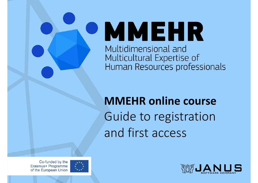**• MMEHR** Multidimensional and Multicultural Expertise of Human Resources professionals

# MMEHR online course Guide to registration and first access

Co-funded by the Erasmus+ Programme of the European Union



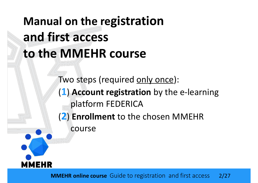

MMEHR online course Guide to registration and first access 2/27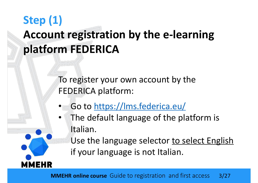To register your own account by the FEDERICA platform:

• Go to https://lms.federica.eu/

IEHR

The default language of the platform is Italian.

Use the language selector to select English if your language is not Italian.

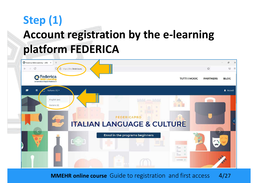

**MMEHR online course** Guide to registration and first access 4/27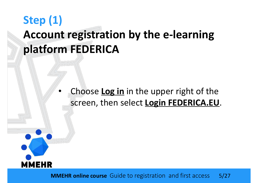Choose Log in in the upper right of the screen, then select Login FEDERICA.EU.

**MMEHR** 

**MMEHR online course** Guide to registration and first access 5/27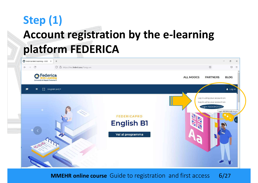

**MMEHR online course** Guide to registration and first access 6/27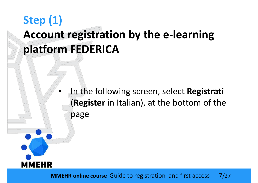In the following screen, select Registrati (Register in Italian), at the bottom of the page



**MMEHR online course** Guide to registration and first access 7/27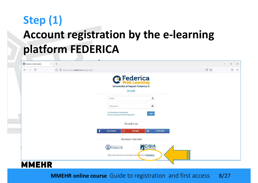| Accedi a Federica.EU<br>$+$<br>$\times$                                        |                                                                               |    | $\equiv$ | $\Box$  | $\times$ |
|--------------------------------------------------------------------------------|-------------------------------------------------------------------------------|----|----------|---------|----------|
| $\leftarrow$ $\rightarrow$<br>$\circ$<br>O & https://www.federica.eu/login.php |                                                                               | 日公 |          | $\odot$ | $\equiv$ |
|                                                                                | <b><i>C</i></b> Federica<br>Università di Napoli Federico II                  |    |          |         |          |
|                                                                                | Accedi                                                                        |    |          |         |          |
|                                                                                | $\mathbf{L}% _{T}=\mathbf{L}_{T}\times\mathbf{R}_{T}$<br>Email                |    |          |         |          |
|                                                                                | ė.<br>Password                                                                |    |          |         |          |
|                                                                                | Ho dimenticato la password<br>Login<br>Non ho ricevuto l'email di attivazione |    |          |         |          |
|                                                                                | Accedi con                                                                    |    |          |         |          |
|                                                                                | $\mathbb{G}$<br>in<br>Linkedin<br>Facebook<br>Google                          |    |          |         |          |
|                                                                                | Accesso riservato                                                             |    |          |         |          |
|                                                                                | CISIA<br><b>DEDERICO</b>                                                      |    |          |         |          |
|                                                                                | Non hai ancora un account su Fe derica? Registrati                            |    |          |         |          |
| <b>MMEHR</b>                                                                   |                                                                               |    |          |         |          |

**MMEHR online course** Guide to registration and first access 8/27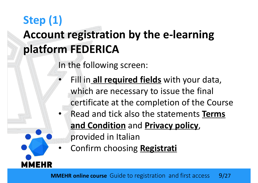In the following screen:

MEHR

- Fill in all required fields with your data, which are necessary to issue the final certificate at the completion of the Course Read and tick also the statements Terms and Condition and Privacy policy, provided in Italian
- Confirm choosing Registrati

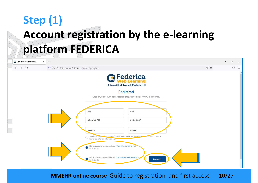| Registrati su Federica.EU<br>$\times$  | $+$                                                                                                                                                                                                                                                                                                |    |  | O.      | $\times$            |
|----------------------------------------|----------------------------------------------------------------------------------------------------------------------------------------------------------------------------------------------------------------------------------------------------------------------------------------------------|----|--|---------|---------------------|
| $\leftarrow \quad \rightarrow \quad C$ | O A or https://www.federica.eu/login.php?register                                                                                                                                                                                                                                                  | 目公 |  | $\odot$ | $\equiv$            |
|                                        | <b><i>C</i></b> Federica<br>Università di Napoli Federico II<br>Registrati<br>Crea il tuo account per accedere gratuitamente ai MOOC di Federica.<br>AAA<br><b>BBB</b><br>A.B@AB.COM<br>01/01/2000                                                                                                 |    |  |         | $\hat{\phantom{a}}$ |
|                                        | <br>                                                                                                                                                                                                                                                                                               |    |  |         |                     |
|                                        | Supporta le mai dia del Centro Federica Web Learning per migliorare Contine Education<br>fornendo ulteriori informazioni.<br>Ho letto, compreso e accettato i Termini e condizioni di<br>Federica.EU<br>Ho letto, compreso e accettato l'informativa sulla privacy di<br>Registrati<br>Federica.EU |    |  |         |                     |

MMEHR online course Guide to registration and first access 10/27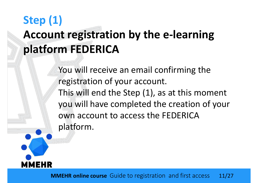You will receive an email confirming the registration of your account. This will end the Step (1), as at this moment you will have completed the creation of your own account to access the FEDERICA platform.

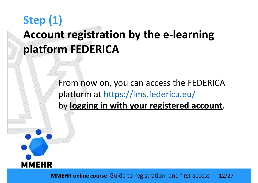From now on, you can access the FEDERICA platform at https://lms.federica.eu/ by logging in with your registered account.



MMEHR online course Guide to registration and first access 12/27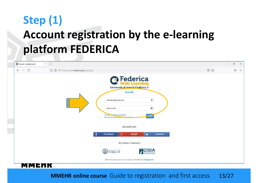

MMEHR online course Guide to registration and first access 13/27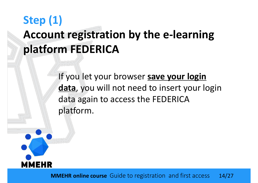If you let your browser save your login data, you will not need to insert your login data again to access the FEDERICA platform.



MMEHR online course Guide to registration and first access 14/27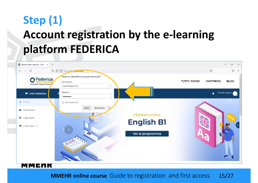|                                        | $\bullet$ Federica Web Learning - LMS $\times$        | $+$ |                                                                                      |                      |              |                    |                     |                             |              | $\times$<br>đ       |
|----------------------------------------|-------------------------------------------------------|-----|--------------------------------------------------------------------------------------|----------------------|--------------|--------------------|---------------------|-----------------------------|--------------|---------------------|
| $\leftarrow \quad \rightarrow \quad C$ |                                                       |     | O A or https://lme.federica.eu                                                       |                      |              |                    |                     | $\stackrel{\wedge}{\omega}$ |              | $\odot$<br>$\equiv$ |
|                                        | <b>O</b> Federica<br>Università di Napoli Federico il |     | Salvare le credenziali di accesso per federica.eu?<br>Nome utente<br>mmehr@gmail.com |                      | $\checkmark$ |                    | <b>TUTTI I MOOC</b> | <b>PARTNERS</b>             | <b>BLOG</b>  |                     |
|                                        | <b>E</b> LMS Federica                                 |     | Password                                                                             |                      |              |                    |                     | ▲                           | mmehr tester |                     |
| 备 Home                                 |                                                       |     | Mostra password                                                                      |                      |              |                    |                     |                             |              |                     |
| <b>2</b> Dashboard                     |                                                       |     |                                                                                      | Non salvare<br>Salva |              | <b>FEDERICAPRO</b> |                     |                             |              |                     |
| <b>曲</b> Calendario                    |                                                       |     |                                                                                      |                      |              |                    |                     |                             |              |                     |
| $\approx$ 1 miei corsi >               |                                                       |     |                                                                                      |                      |              | <b>English B1</b>  |                     |                             |              |                     |
|                                        |                                                       |     |                                                                                      |                      |              | Vai al programma   |                     |                             |              |                     |
|                                        |                                                       |     | 999.000                                                                              |                      |              |                    |                     |                             |              |                     |
|                                        | MMEMR                                                 |     |                                                                                      |                      |              |                    |                     |                             |              |                     |

MMEHR online course Guide to registration and first access 15/27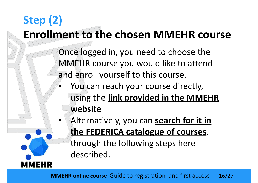Once logged in, you need to choose the MMEHR course you would like to attend and enroll yourself to this course.

- You can reach your course directly, using the link provided in the MMEHR website
- Alternatively, you can search for it in the FEDERICA catalogue of courses, through the following steps here described.

**IEHR** 

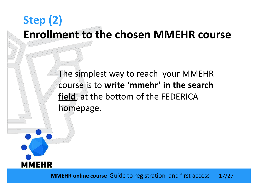The simplest way to reach your MMEHR course is to write 'mmehr' in the search field, at the bottom of the FEDERICA homepage.



MMEHR online course Guide to registration and first access 17/27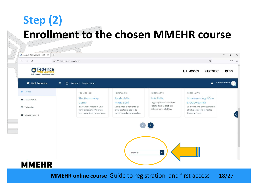| <b>B</b> Federica<br>Università di Napoli Federico II |                                                           |                          |                                                       |                                                 | <b>ALL MOOCS</b>                                         | <b>PARTNERS</b>  | <b>BLOG</b>  |
|-------------------------------------------------------|-----------------------------------------------------------|--------------------------|-------------------------------------------------------|-------------------------------------------------|----------------------------------------------------------|------------------|--------------|
| <b>E</b> LMS Federica                                 | [] Recent + English (en) +<br>$\equiv$                    |                          |                                                       |                                                 |                                                          | $\blacktriangle$ | mmehr tester |
| ₩ Home                                                | Federica Pro                                              |                          | Federica Pro                                          | Federica Pro                                    | Federica Pro                                             |                  |              |
| <b>@</b> Dashboard                                    | The Personality                                           |                          | Storia delle                                          | Soft Skills                                     | Smartworking: Sfide                                      |                  |              |
|                                                       | Game                                                      |                          | migrazioni                                            | Oggi il pensiero critico e                      | & Opportunità                                            |                  |              |
| calendar                                              | Il corso si articola in una<br>serie di lezioni integrate |                          | Sono circa cinquanta gli<br>anni di storia, di svolte | l'attitudine al problem<br>solving sono abilità | La situazione emergenziale<br>che ha costretto il nostro |                  |              |
|                                                       |                                                           | con un serious game. Ven | politiche ed economiche                               |                                                 | Paese ad una                                             |                  |              |
| $My$ courses $\rightarrow$                            |                                                           |                          |                                                       |                                                 |                                                          |                  |              |
|                                                       |                                                           |                          |                                                       |                                                 |                                                          |                  |              |
|                                                       |                                                           |                          |                                                       |                                                 |                                                          |                  |              |
|                                                       |                                                           |                          |                                                       |                                                 |                                                          |                  |              |
|                                                       |                                                           |                          |                                                       |                                                 |                                                          |                  |              |
|                                                       |                                                           |                          |                                                       |                                                 |                                                          |                  |              |
|                                                       |                                                           |                          |                                                       |                                                 |                                                          |                  |              |

**MMEHR online course** Guide to registration and first access 18/27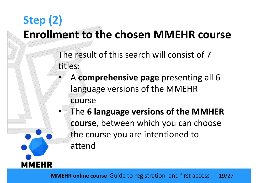- The result of this search will consist of 7 titles:
	- A comprehensive page presenting all 6 language versions of the MMEHR course
	- The 6 language versions of the MMHER course, between which you can choose the course you are intentioned to attend



**MMEHR**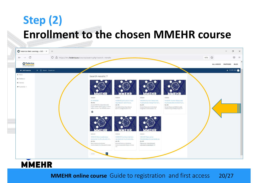| <b>C</b> Federica Web Learning - LMS: SX<br>$\circ$<br>$\leftarrow$ $\rightarrow$ | $+$<br>O A https://ims.federica.eu/course/search.php?search=mmehr |                                                                                                                                                           |                                                                                                                                           |                                                                                                                                                     |                                                                                                                                             | 50% 公 |           |                 | G<br>$\odot$          |
|-----------------------------------------------------------------------------------|-------------------------------------------------------------------|-----------------------------------------------------------------------------------------------------------------------------------------------------------|-------------------------------------------------------------------------------------------------------------------------------------------|-----------------------------------------------------------------------------------------------------------------------------------------------------|---------------------------------------------------------------------------------------------------------------------------------------------|-------|-----------|-----------------|-----------------------|
| <b>O</b> Federica<br>Università di Napoli Pederico II                             |                                                                   |                                                                                                                                                           |                                                                                                                                           |                                                                                                                                                     |                                                                                                                                             |       | ALL MOOCS | <b>PARTNERS</b> | <b>BLOG</b>           |
| <b>E</b> LMS Federica<br># Home                                                   | = [] Recent- English (en)-                                        | Search results: 7                                                                                                                                         |                                                                                                                                           |                                                                                                                                                     |                                                                                                                                             |       |           |                 | <b>A</b> mmehr tester |
| <b>6</b> Deshboard<br>m Calendar<br># My courses >                                |                                                                   | <b>MMEHR</b><br>E+ MMEHR<br>AA.W.<br>Il como MMEHR è disponibile nelle<br>lingue inglese, italiano, greco, rumeno,<br>tedesco e turco. The MMEHR course i | MMEHR-<br>MMEHR Cok kultürlü İnsan<br>Kaynaklarini tanıma ve.<br>AA.VV.<br>Çok kültürlü İnsan Kaynaklarını<br>tanıma ye değerlendirme 4.0 | <b>MMEHR</b><br>MMEHR Human Resources<br>multicultural recognition an.<br>AA.VV.<br>Haman Resources multicultural<br>recognition and evaluation 4.0 | RHENM<br>MMEHR Human Resources<br>Multikulturelle Anerkerinun<br>AA.VV.<br>Human Resources Multikulturalle<br>Anetkennung und Bewertung 4.0 |       |           |                 |                       |
|                                                                                   |                                                                   | $\circ$<br>MMEHR:<br><b>ММЕНЯ Recunoasterea si</b><br>evaluarea multiculturală 4.0<br>AA.VV.<br>Recuncașterea și evaluarea                                | EHR<br>MMEHR<br>MMEHR Riconoscimento e-<br>velutazione multiculturale<br>AA.VV.<br>Riconoscimento e valutazione                           | MMEHR<br>1-IMHER Πόροι για την<br>ττολυπολπαμική αναγνώριση και<br>AA VV.<br>Πόροι για την πολυττολιτισμική                                         |                                                                                                                                             |       |           |                 |                       |
| <b>MMEHR</b>                                                                      |                                                                   | multiculturala 4.0 a Resurreior Umane<br>$\overline{a}$<br>mittante.                                                                                      | multiculturale delle Risorse Urnane<br>$40 -$                                                                                             | αναγνώριση και αξιολόγηση 4.0                                                                                                                       |                                                                                                                                             |       |           |                 |                       |

#### MMEHR online course Guide to registration and first access 20/27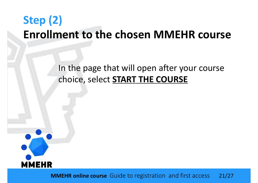#### In the page that will open after your course choice, select **START THE COURSE**



MMEHR online course Guide to registration and first access 21/27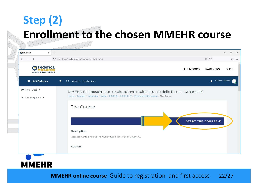| C MMEHR_IT<br>$\times$                                | $+$      |                                                                                               |                  |                    | o           |
|-------------------------------------------------------|----------|-----------------------------------------------------------------------------------------------|------------------|--------------------|-------------|
| $\leftarrow$ $\rightarrow$ C                          |          | O & https://lms.federica.eu/enrol/index.php?id=498                                            |                  | 目公                 | $\odot$     |
| <b>O</b> Federica<br>Università di Napoli Federico II |          |                                                                                               | <b>ALL MOOCS</b> | <b>PARTNERS</b>    | <b>BLOG</b> |
| <b>E</b> LMS Federica                                 | $\equiv$ | [] Recent + English (en) +                                                                    |                  | Course Learner     |             |
| $My$ Courses >                                        |          | MMEHR Riconoscimento e valutazione multiculturale delle Risorse Umane 4.0                     |                  |                    |             |
| % Site Navigation >                                   |          | Home / Courses / Università / Unina / MMEHR / MMEHR IT / Enrol me in this course / The Course |                  |                    |             |
|                                                       |          | The Course                                                                                    |                  |                    |             |
|                                                       |          |                                                                                               |                  |                    |             |
|                                                       |          |                                                                                               |                  | START THE COURSE + |             |
|                                                       |          | Description                                                                                   |                  |                    |             |
|                                                       |          | Riconoscimento e valutazione multiculturale delle Risorse Umane 4.0                           |                  |                    |             |
|                                                       |          |                                                                                               |                  |                    |             |
|                                                       |          | Authors                                                                                       |                  |                    |             |



MMEHR online course Guide to registration and first access 22/27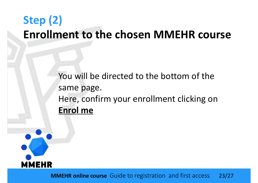You will be directed to the bottom of the same page. Here, confirm your enrollment clicking on **ENT TO THE CHOSEN IVIIVIE**<br>You will be directed to the botto<br>same page.<br>Here, confirm your enrollment continues



MMEHR online course Guide to registration and first access 23/27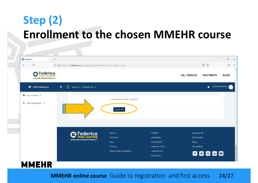| $\leftarrow \quad \rightarrow \quad C$                | O & https://lms.federica.eu/enrol/index.php?id=498#enrolment-options-anchor |                             |                                                                                                                                                                                                       |                  |                 |  |
|-------------------------------------------------------|-----------------------------------------------------------------------------|-----------------------------|-------------------------------------------------------------------------------------------------------------------------------------------------------------------------------------------------------|------------------|-----------------|--|
| <b>O</b> Federica<br>Università di Napoli Federico II |                                                                             |                             |                                                                                                                                                                                                       | <b>ALL MOOCS</b> | <b>PARTNERS</b> |  |
| <b>E</b> LMS Federica                                 | □ Recent ▶ English (en) ▼<br>$\equiv$                                       |                             |                                                                                                                                                                                                       |                  |                 |  |
| $My$ Courses >                                        |                                                                             |                             |                                                                                                                                                                                                       |                  |                 |  |
| % Site Navigation >                                   |                                                                             | No enrolment key required.  |                                                                                                                                                                                                       |                  |                 |  |
|                                                       |                                                                             | Enrol me                    |                                                                                                                                                                                                       |                  |                 |  |
|                                                       |                                                                             |                             |                                                                                                                                                                                                       |                  |                 |  |
|                                                       |                                                                             |                             |                                                                                                                                                                                                       |                  |                 |  |
|                                                       |                                                                             |                             |                                                                                                                                                                                                       |                  |                 |  |
|                                                       | Federica                                                                    | About                       | a<br>目公<br>$\odot$<br><b>BLOG</b><br>Course Learner<br><b>MOOCs</b><br>Contact Us<br>University<br>Newsroom<br>Orientation<br>Blog<br>Federica PRO<br>Newsletter<br>Federica Co<br>80060<br>FedericaX |                  |                 |  |
|                                                       | earning                                                                     | Partners                    |                                                                                                                                                                                                       |                  |                 |  |
|                                                       | Università di Napoli Federico II                                            | Faq                         |                                                                                                                                                                                                       |                  |                 |  |
|                                                       |                                                                             | Privacy                     |                                                                                                                                                                                                       |                  |                 |  |
|                                                       |                                                                             | <b>Terms and Conditions</b> |                                                                                                                                                                                                       |                  |                 |  |
|                                                       |                                                                             |                             |                                                                                                                                                                                                       |                  |                 |  |

#### MMEHR online course Guide to registration and first access 24/27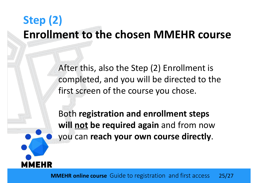After this, also the Step (2) Enrollment is completed, and you will be directed to the first screen of the course you chose. After this, also the Step (2) Enrollment is<br>completed, and you will be directed to the<br>first screen of the course you chose.<br>Both registration and enrollment steps<br>will <u>not</u> be required again and from now<br>you can reach yo

Both registration and enrollment steps you can reach your own course directly.



MMEHR online course Guide to registration and first access 25/27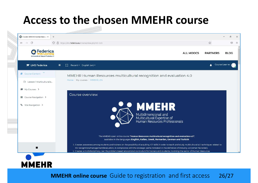#### Access to the chosen MMEHR course

| C Course: MMEHR Human Resour X            | $+$      |                                                                            |                                                                                                                                                                                                                                                                                                                                                                                                                                                                                                                                                                                                                                                                                                                                                                                                                                             |                 |  |
|-------------------------------------------|----------|----------------------------------------------------------------------------|---------------------------------------------------------------------------------------------------------------------------------------------------------------------------------------------------------------------------------------------------------------------------------------------------------------------------------------------------------------------------------------------------------------------------------------------------------------------------------------------------------------------------------------------------------------------------------------------------------------------------------------------------------------------------------------------------------------------------------------------------------------------------------------------------------------------------------------------|-----------------|--|
| $\leftarrow$ $\rightarrow$ C              |          | O A https://lms.federica.eu/course/view.php?id=323                         |                                                                                                                                                                                                                                                                                                                                                                                                                                                                                                                                                                                                                                                                                                                                                                                                                                             | ☆               |  |
| Federica<br>Università di Napoli Federico |          |                                                                            | <b>ALL MOOCS</b>                                                                                                                                                                                                                                                                                                                                                                                                                                                                                                                                                                                                                                                                                                                                                                                                                            | <b>PARTNERS</b> |  |
| <b>E</b> LMS Federica                     | $\equiv$ | $\begin{bmatrix} 1 \\ 2 \end{bmatrix}$ Recent $\star$ English (en) $\star$ |                                                                                                                                                                                                                                                                                                                                                                                                                                                                                                                                                                                                                                                                                                                                                                                                                                             | $\blacksquare$  |  |
| Course Content                            |          | MMEHR Human Resources multicultural recognition and evaluation 4.0         |                                                                                                                                                                                                                                                                                                                                                                                                                                                                                                                                                                                                                                                                                                                                                                                                                                             |                 |  |
| Lesson 1 Multiculturalis                  |          | Home / My courses / MMEHR_EN                                               |                                                                                                                                                                                                                                                                                                                                                                                                                                                                                                                                                                                                                                                                                                                                                                                                                                             |                 |  |
| $My$ Courses >                            |          |                                                                            |                                                                                                                                                                                                                                                                                                                                                                                                                                                                                                                                                                                                                                                                                                                                                                                                                                             |                 |  |
| ■ Course Navigation >                     |          | Course overview                                                            |                                                                                                                                                                                                                                                                                                                                                                                                                                                                                                                                                                                                                                                                                                                                                                                                                                             |                 |  |
| % Site Navigation >                       |          |                                                                            | Ō.<br>$\times$<br>$\odot$<br>$\equiv$<br><b>BLOG</b><br>Course Learner<br><b>MMEHR</b><br>Multidimensional and<br>Multicultural Expertise of<br>Human Resources Professionals<br>The MMEHR open online course "Human Resources multicultural recognition and evaluation 4.0".<br>available in the languages English, Italian, Greek, Romanian, German and Turkish:<br>1. Creates awareness among students and trainers on the possibility of acquiring ICT skills in order to teach and study multicultural 4.0 techniques related to<br>HR recognition/management/evaluation, in compliance with the strategic paths indicated in the definition of Industry 4.0 ('smart factories').<br>2. Creates a multidisciplinary, real life problem-based educational curriculum for trainers and students, involving the sector of Human Resources |                 |  |
|                                           |          |                                                                            |                                                                                                                                                                                                                                                                                                                                                                                                                                                                                                                                                                                                                                                                                                                                                                                                                                             |                 |  |
| п                                         |          |                                                                            |                                                                                                                                                                                                                                                                                                                                                                                                                                                                                                                                                                                                                                                                                                                                                                                                                                             |                 |  |

#### MMEHR online course Guide to registration and first access 26/27